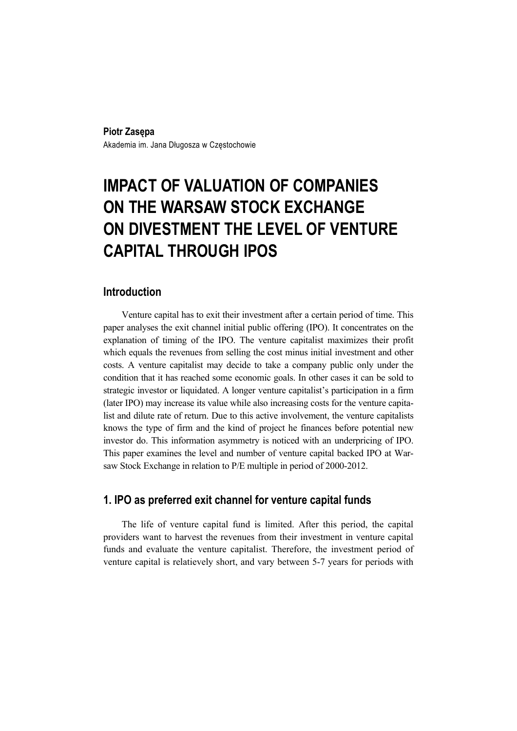#### **Piotr Zasępa**

Akademia im. Jana Długosza w Częstochowie

# **IMPACT OF VALUATION OF COMPANIES ON THE WARSAW STOCK EXCHANGE ON DIVESTMENT THE LEVEL OF VENTURE CAPITAL THROUGH IPOS**

# **Introduction**

Venture capital has to exit their investment after a certain period of time. This paper analyses the exit channel initial public offering (IPO). It concentrates on the explanation of timing of the IPO. The venture capitalist maximizes their profit which equals the revenues from selling the cost minus initial investment and other costs. A venture capitalist may decide to take a company public only under the condition that it has reached some economic goals. In other cases it can be sold to strategic investor or liquidated. A longer venture capitalist's participation in a firm (later IPO) may increase its value while also increasing costs for the venture capitalist and dilute rate of return. Due to this active involvement, the venture capitalists knows the type of firm and the kind of project he finances before potential new investor do. This information asymmetry is noticed with an underpricing of IPO. This paper examines the level and number of venture capital backed IPO at Warsaw Stock Exchange in relation to P/E multiple in period of 2000-2012.

# **1. IPO as preferred exit channel for venture capital funds**

The life of venture capital fund is limited. After this period, the capital providers want to harvest the revenues from their investment in venture capital funds and evaluate the venture capitalist. Therefore, the investment period of venture capital is relatievely short, and vary between 5-7 years for periods with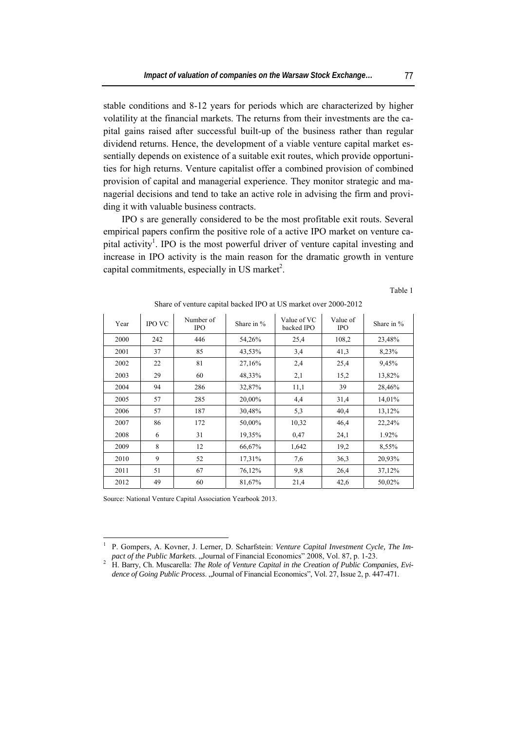stable conditions and 8-12 years for periods which are characterized by higher volatility at the financial markets. The returns from their investments are the capital gains raised after successful built-up of the business rather than regular dividend returns. Hence, the development of a viable venture capital market essentially depends on existence of a suitable exit routes, which provide opportunities for high returns. Venture capitalist offer a combined provision of combined provision of capital and managerial experience. They monitor strategic and managerial decisions and tend to take an active role in advising the firm and providing it with valuable business contracts.

IPO s are generally considered to be the most profitable exit routs. Several empirical papers confirm the positive role of a active IPO market on venture capital activity<sup>1</sup>. IPO is the most powerful driver of venture capital investing and increase in IPO activity is the main reason for the dramatic growth in venture capital commitments, especially in US market<sup>2</sup>.

#### Table 1

| Year | <b>IPO VC</b> | Number of<br><b>IPO</b> | Share in % | Value of VC<br>backed IPO | Value of<br><b>IPO</b> | Share in % |
|------|---------------|-------------------------|------------|---------------------------|------------------------|------------|
| 2000 | 242           | 446                     | 54,26%     | 25,4                      | 108,2                  | 23,48%     |
| 2001 | 37            | 85                      | 43,53%     | 3,4                       | 41,3                   | 8,23%      |
| 2002 | 22            | 81                      | 27,16%     | 2,4                       | 25,4                   | 9,45%      |
| 2003 | 29            | 60                      | 48,33%     | 2,1                       | 15,2                   | 13,82%     |
| 2004 | 94            | 286                     | 32,87%     | 11,1                      | 39                     | 28,46%     |
| 2005 | 57            | 285                     | 20,00%     | 4,4                       | 31,4                   | 14,01%     |
| 2006 | 57            | 187                     | 30,48%     | 5,3                       | 40,4                   | 13,12%     |
| 2007 | 86            | 172                     | 50,00%     | 10,32                     | 46,4                   | 22,24%     |
| 2008 | 6             | 31                      | 19,35%     | 0,47                      | 24,1                   | 1.92%      |
| 2009 | 8             | 12                      | 66,67%     | 1,642                     | 19,2                   | 8,55%      |
| 2010 | 9             | 52                      | 17,31%     | 7,6                       | 36,3                   | 20,93%     |
| 2011 | 51            | 67                      | 76,12%     | 9,8                       | 26,4                   | 37,12%     |
| 2012 | 49            | 60                      | 81,67%     | 21,4                      | 42,6                   | 50,02%     |

Share of venture capital backed IPO at US market over 2000-2012

Source: National Venture Capital Association Yearbook 2013.

<sup>1</sup> P. Gompers, A. Kovner, J. Lerner, D. Scharfstein: *Venture Capital Investment Cycle, The Impact of the Public Markets.* "Journal of Financial Economics" 2008, Vol. 87, p. 1-23.

<sup>&</sup>lt;sup>2</sup> H. Barry, Ch. Muscarella: *The Role of Venture Capital in the Creation of Public Companies, Evidence of Going Public Process.* "Journal of Financial Economics", Vol. 27, Issue 2, p. 447-471.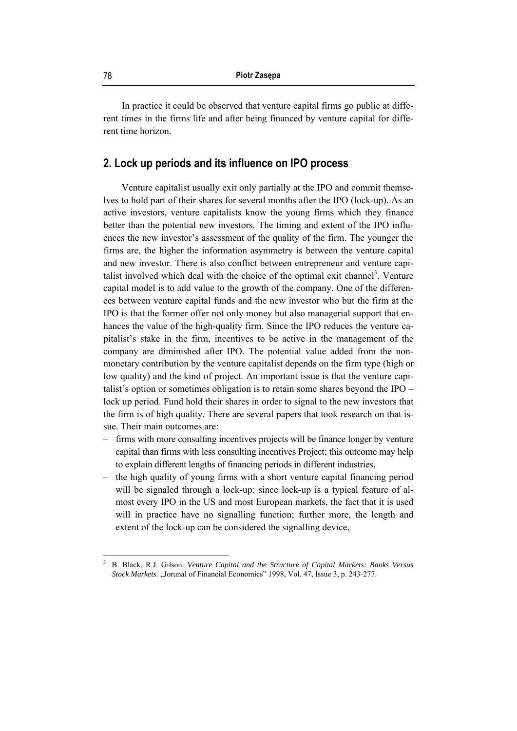In practice it could be observed that venture capital firms go public at different times in the firms life and after being financed by venture capital for different time horizon.

### **2. Lock up periods and its influence on IPO process**

Venture capitalist usually exit only partially at the IPO and commit themselves to hold part of their shares for several months after the IPO (lock-up). As an active investors, venture capitalists know the young firms which they finance better than the potential new investors. The timing and extent of the IPO influences the new investor's assessment of the quality of the firm. The younger the firms are, the higher the information asymmetry is between the venture capital and new investor. There is also conflict between entrepreneur and venture capitalist involved which deal with the choice of the optimal exit channel<sup>3</sup>. Venture capital model is to add value to the growth of the company. One of the differences between venture capital funds and the new investor who but the firm at the IPO is that the former offer not only money but also managerial support that enhances the value of the high-quality firm. Since the IPO reduces the venture capitalist's stake in the firm, incentives to be active in the management of the company are diminished after IPO. The potential value added from the nonmonetary contribution by the venture capitalist depends on the firm type (high or low quality) and the kind of project. An important issue is that the venture capitalist's option or sometimes obligation is to retain some shares beyond the IPO – lock up period. Fund hold their shares in order to signal to the new investors that the firm is of high quality. There are several papers that took research on that issue. Their main outcomes are:

- ‒ firms with more consulting incentives projects will be finance longer by venture capital than firms with less consulting incentives Project; this outcome may help to explain different lengths of financing periods in different industries,
- ‒ the high quality of young firms with a short venture capital financing period will be signaled through a lock-up; since lock-up is a typical feature of almost every IPO in the US and most European markets, the fact that it is used will in practice have no signalling function; further more, the length and extent of the lock-up can be considered the signalling device,

<sup>3</sup> B. Black, R.J. Gilson: *Venture Capital and the Structure of Capital Markets: Banks Versus Stock Markets.* "Jorunal of Financial Economics" 1998, Vol. 47, Issue 3, p. 243-277.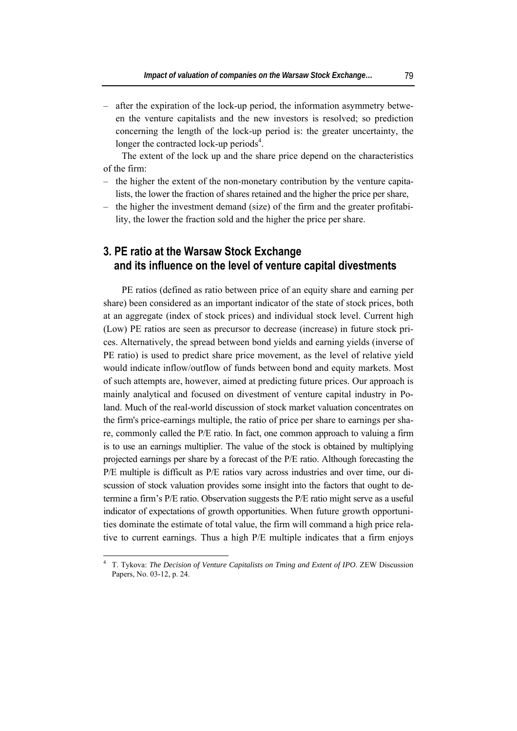‒ after the expiration of the lock-up period, the information asymmetry between the venture capitalists and the new investors is resolved; so prediction concerning the length of the lock-up period is: the greater uncertainty, the longer the contracted lock-up periods<sup>4</sup>.

The extent of the lock up and the share price depend on the characteristics of the firm:

- the higher the extent of the non-monetary contribution by the venture capitalists, the lower the fraction of shares retained and the higher the price per share,
- $-$  the higher the investment demand (size) of the firm and the greater profitability, the lower the fraction sold and the higher the price per share.

# **3. PE ratio at the Warsaw Stock Exchange and its influence on the level of venture capital divestments**

PE ratios (defined as ratio between price of an equity share and earning per share) been considered as an important indicator of the state of stock prices, both at an aggregate (index of stock prices) and individual stock level. Current high (Low) PE ratios are seen as precursor to decrease (increase) in future stock prices. Alternatively, the spread between bond yields and earning yields (inverse of PE ratio) is used to predict share price movement, as the level of relative yield would indicate inflow/outflow of funds between bond and equity markets. Most of such attempts are, however, aimed at predicting future prices. Our approach is mainly analytical and focused on divestment of venture capital industry in Poland. Much of the real-world discussion of stock market valuation concentrates on the firm's price-earnings multiple, the ratio of price per share to earnings per share, commonly called the P/E ratio. In fact, one common approach to valuing a firm is to use an earnings multiplier. The value of the stock is obtained by multiplying projected earnings per share by a forecast of the P/E ratio. Although forecasting the P/E multiple is difficult as P/E ratios vary across industries and over time, our discussion of stock valuation provides some insight into the factors that ought to determine a firm's P/E ratio. Observation suggests the P/E ratio might serve as a useful indicator of expectations of growth opportunities. When future growth opportunities dominate the estimate of total value, the firm will command a high price relative to current earnings. Thus a high P/E multiple indicates that a firm enjoys

<sup>4</sup> T. Tykova: *The Decision of Venture Capitalists on Tming and Extent of IPO*. ZEW Discussion Papers, No. 03-12, p. 24.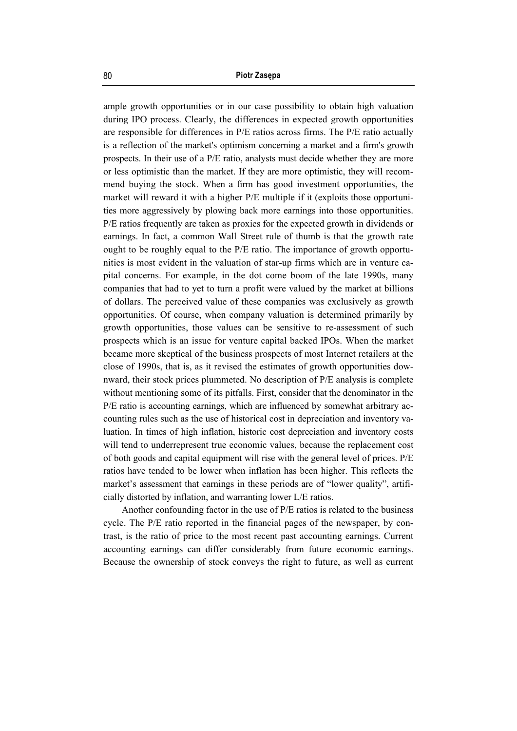ample growth opportunities or in our case possibility to obtain high valuation during IPO process. Clearly, the differences in expected growth opportunities are responsible for differences in P/E ratios across firms. The P/E ratio actually is a reflection of the market's optimism concerning a market and a firm's growth prospects. In their use of a P/E ratio, analysts must decide whether they are more or less optimistic than the market. If they are more optimistic, they will recommend buying the stock. When a firm has good investment opportunities, the market will reward it with a higher P/E multiple if it (exploits those opportunities more aggressively by plowing back more earnings into those opportunities. P/E ratios frequently are taken as proxies for the expected growth in dividends or earnings. In fact, a common Wall Street rule of thumb is that the growth rate ought to be roughly equal to the P/E ratio. The importance of growth opportunities is most evident in the valuation of star-up firms which are in venture capital concerns. For example, in the dot come boom of the late 1990s, many companies that had to yet to turn a profit were valued by the market at billions of dollars. The perceived value of these companies was exclusively as growth opportunities. Of course, when company valuation is determined primarily by growth opportunities, those values can be sensitive to re-assessment of such prospects which is an issue for venture capital backed IPOs. When the market became more skeptical of the business prospects of most Internet retailers at the close of 1990s, that is, as it revised the estimates of growth opportunities downward, their stock prices plummeted. No description of P/E analysis is complete without mentioning some of its pitfalls. First, consider that the denominator in the P/E ratio is accounting earnings, which are influenced by somewhat arbitrary accounting rules such as the use of historical cost in depreciation and inventory valuation. In times of high inflation, historic cost depreciation and inventory costs will tend to underrepresent true economic values, because the replacement cost of both goods and capital equipment will rise with the general level of prices. P/E ratios have tended to be lower when inflation has been higher. This reflects the market's assessment that earnings in these periods are of "lower quality", artificially distorted by inflation, and warranting lower L/E ratios.

Another confounding factor in the use of P/E ratios is related to the business cycle. The P/E ratio reported in the financial pages of the newspaper, by contrast, is the ratio of price to the most recent past accounting earnings. Current accounting earnings can differ considerably from future economic earnings. Because the ownership of stock conveys the right to future, as well as current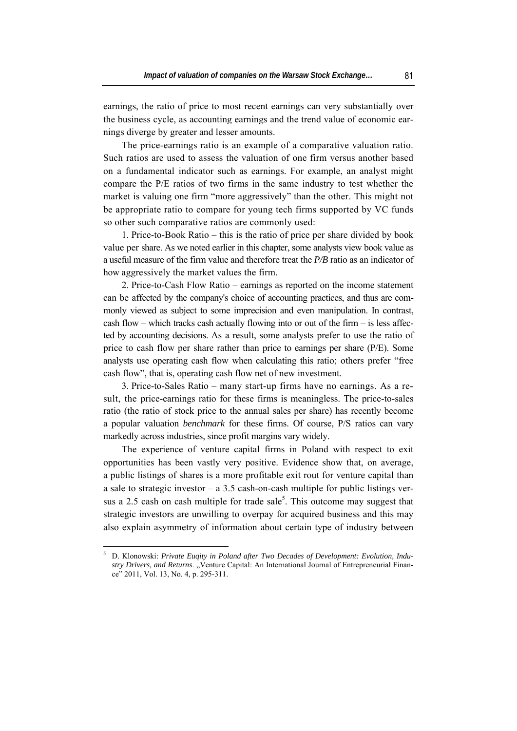earnings, the ratio of price to most recent earnings can very substantially over the business cycle, as accounting earnings and the trend value of economic earnings diverge by greater and lesser amounts.

The price-earnings ratio is an example of a comparative valuation ratio. Such ratios are used to assess the valuation of one firm versus another based on a fundamental indicator such as earnings. For example, an analyst might compare the P/E ratios of two firms in the same industry to test whether the market is valuing one firm "more aggressively" than the other. This might not be appropriate ratio to compare for young tech firms supported by VC funds so other such comparative ratios are commonly used:

1. Price-to-Book Ratio – this is the ratio of price per share divided by book value per share. As we noted earlier in this chapter, some analysts view book value as a useful measure of the firm value and therefore treat the *P/B* ratio as an indicator of how aggressively the market values the firm.

2. Price-to-Cash Flow Ratio – earnings as reported on the income statement can be affected by the company's choice of accounting practices, and thus are commonly viewed as subject to some imprecision and even manipulation. In contrast, cash flow – which tracks cash actually flowing into or out of the firm – is less affected by accounting decisions. As a result, some analysts prefer to use the ratio of price to cash flow per share rather than price to earnings per share (P/E). Some analysts use operating cash flow when calculating this ratio; others prefer "free cash flow", that is, operating cash flow net of new investment.

3. Price-to-Sales Ratio – many start-up firms have no earnings. As a result, the price-earnings ratio for these firms is meaningless. The price-to-sales ratio (the ratio of stock price to the annual sales per share) has recently become a popular valuation *benchmark* for these firms. Of course, P/S ratios can vary markedly across industries, since profit margins vary widely.

The experience of venture capital firms in Poland with respect to exit opportunities has been vastly very positive. Evidence show that, on average, a public listings of shares is a more profitable exit rout for venture capital than a sale to strategic investor – a 3.5 cash-on-cash multiple for public listings versus a 2.5 cash on cash multiple for trade sale<sup>5</sup>. This outcome may suggest that strategic investors are unwilling to overpay for acquired business and this may also explain asymmetry of information about certain type of industry between

<sup>5</sup> D. Klonowski: *Private Euqity in Poland after Two Decades of Development: Evolution, Industry Drivers, and Returns.* "Venture Capital: An International Journal of Entrepreneurial Finance" 2011, Vol. 13, No. 4, p. 295-311.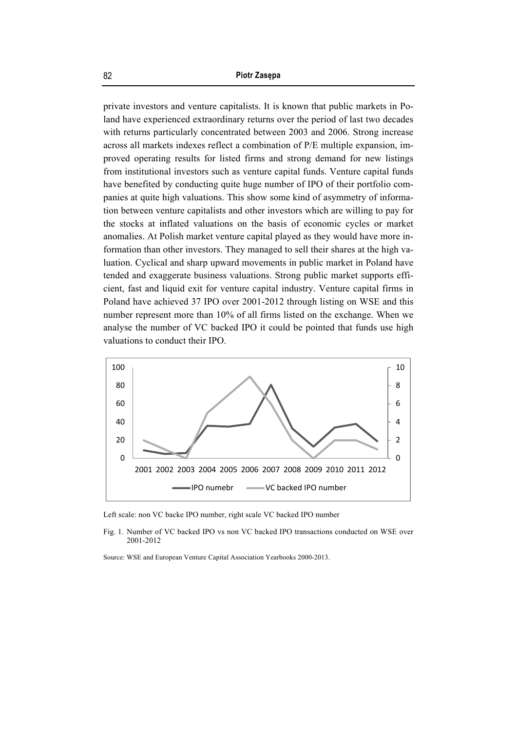private investors and venture capitalists. It is known that public markets in Poland have experienced extraordinary returns over the period of last two decades with returns particularly concentrated between 2003 and 2006. Strong increase across all markets indexes reflect a combination of P/E multiple expansion, improved operating results for listed firms and strong demand for new listings from institutional investors such as venture capital funds. Venture capital funds have benefited by conducting quite huge number of IPO of their portfolio companies at quite high valuations. This show some kind of asymmetry of information between venture capitalists and other investors which are willing to pay for the stocks at inflated valuations on the basis of economic cycles or market anomalies. At Polish market venture capital played as they would have more information than other investors. They managed to sell their shares at the high valuation. Cyclical and sharp upward movements in public market in Poland have tended and exaggerate business valuations. Strong public market supports efficient, fast and liquid exit for venture capital industry. Venture capital firms in Poland have achieved 37 IPO over 2001-2012 through listing on WSE and this number represent more than 10% of all firms listed on the exchange. When we analyse the number of VC backed IPO it could be pointed that funds use high valuations to conduct their IPO.



Left scale: non VC backe IPO number, right scale VC backed IPO number

Source: WSE and European Venture Capital Association Yearbooks 2000-2013.

Fig. 1. Number of VC backed IPO vs non VC backed IPO transactions conducted on WSE over 2001-2012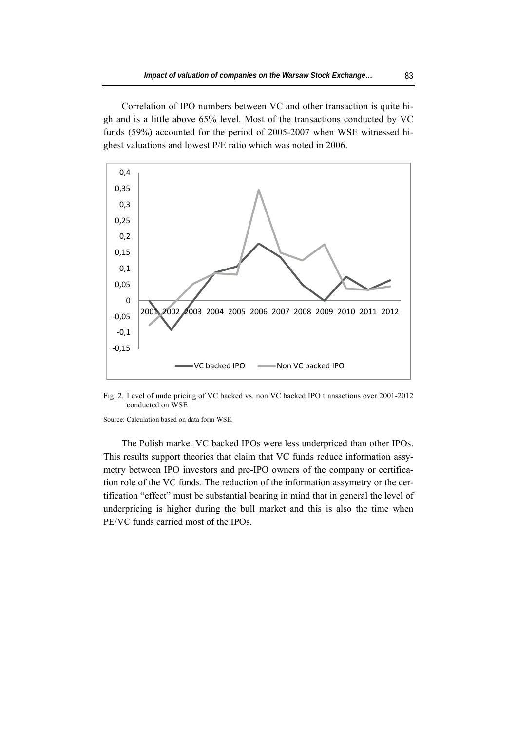Correlation of IPO numbers between VC and other transaction is quite high and is a little above 65% level. Most of the transactions conducted by VC funds (59%) accounted for the period of 2005-2007 when WSE witnessed highest valuations and lowest P/E ratio which was noted in 2006.



Fig. 2. Level of underpricing of VC backed vs. non VC backed IPO transactions over 2001-2012 conducted on WSE

Source: Calculation based on data form WSE.

The Polish market VC backed IPOs were less underpriced than other IPOs. This results support theories that claim that VC funds reduce information assymetry between IPO investors and pre-IPO owners of the company or certification role of the VC funds. The reduction of the information assymetry or the certification "effect" must be substantial bearing in mind that in general the level of underpricing is higher during the bull market and this is also the time when PE/VC funds carried most of the IPOs.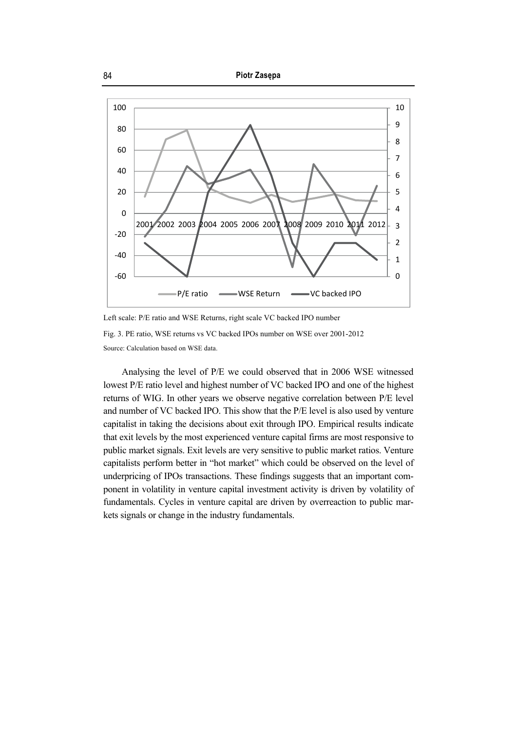

Left scale: P/E ratio and WSE Returns, right scale VC backed IPO number Fig. 3. PE ratio, WSE returns vs VC backed IPOs number on WSE over 2001-2012 Source: Calculation based on WSE data.

Analysing the level of P/E we could observed that in 2006 WSE witnessed lowest P/E ratio level and highest number of VC backed IPO and one of the highest returns of WIG. In other years we observe negative correlation between P/E level and number of VC backed IPO. This show that the P/E level is also used by venture capitalist in taking the decisions about exit through IPO. Empirical results indicate that exit levels by the most experienced venture capital firms are most responsive to public market signals. Exit levels are very sensitive to public market ratios. Venture capitalists perform better in "hot market" which could be observed on the level of underpricing of IPOs transactions. These findings suggests that an important component in volatility in venture capital investment activity is driven by volatility of fundamentals. Cycles in venture capital are driven by overreaction to public markets signals or change in the industry fundamentals.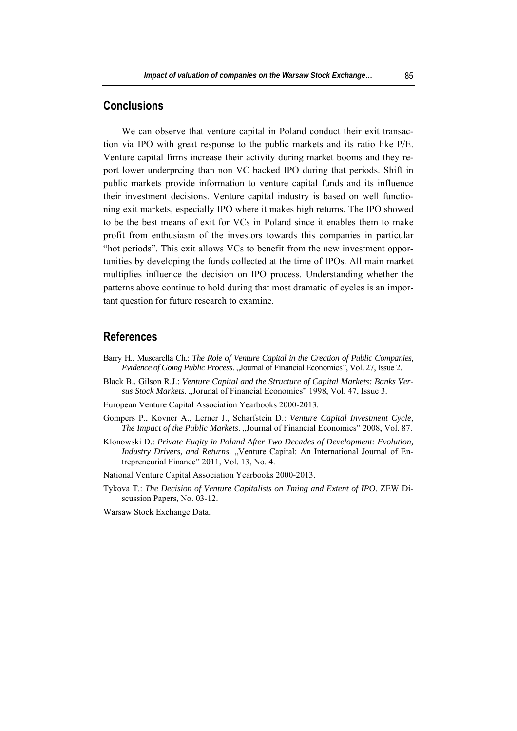## **Conclusions**

We can observe that venture capital in Poland conduct their exit transaction via IPO with great response to the public markets and its ratio like P/E. Venture capital firms increase their activity during market booms and they report lower underprcing than non VC backed IPO during that periods. Shift in public markets provide information to venture capital funds and its influence their investment decisions. Venture capital industry is based on well functioning exit markets, especially IPO where it makes high returns. The IPO showed to be the best means of exit for VCs in Poland since it enables them to make profit from enthusiasm of the investors towards this companies in particular "hot periods". This exit allows VCs to benefit from the new investment opportunities by developing the funds collected at the time of IPOs. All main market multiplies influence the decision on IPO process. Understanding whether the patterns above continue to hold during that most dramatic of cycles is an important question for future research to examine.

# **References**

- Barry H., Muscarella Ch.: *The Role of Venture Capital in the Creation of Public Companies, Evidence of Going Public Process*. "Journal of Financial Economics", Vol. 27, Issue 2.
- Black B., Gilson R.J.: *Venture Capital and the Structure of Capital Markets: Banks Versus Stock Markets*. "Jorunal of Financial Economics" 1998, Vol. 47, Issue 3.
- European Venture Capital Association Yearbooks 2000-2013.
- Gompers P., Kovner A., Lerner J., Scharfstein D.: *Venture Capital Investment Cycle, The Impact of the Public Markets*. "Journal of Financial Economics" 2008, Vol. 87.
- Klonowski D.: *Private Euqity in Poland After Two Decades of Development: Evolution, Industry Drivers, and Returns*. "Venture Capital: An International Journal of Entrepreneurial Finance" 2011, Vol. 13, No. 4.
- National Venture Capital Association Yearbooks 2000-2013.
- Tykova T.: *The Decision of Venture Capitalists on Tming and Extent of IPO*. ZEW Discussion Papers, No. 03-12.

Warsaw Stock Exchange Data.